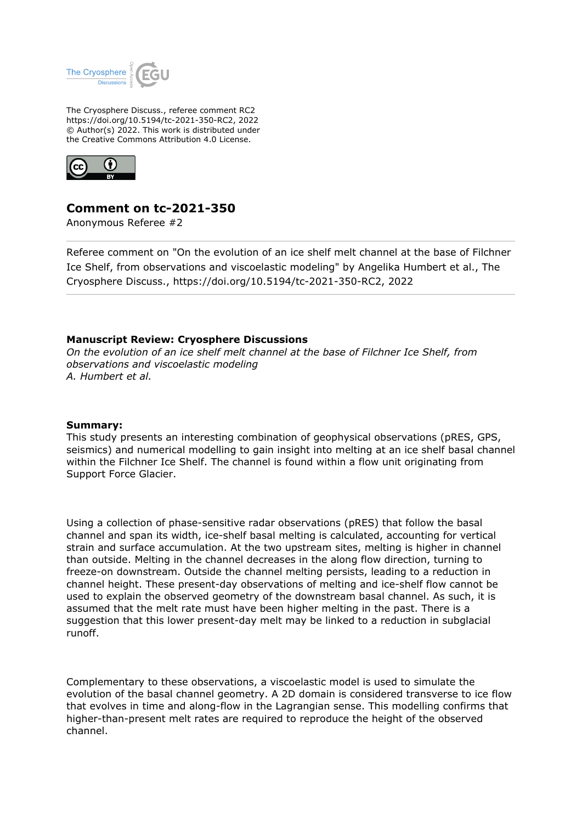

The Cryosphere Discuss., referee comment RC2 https://doi.org/10.5194/tc-2021-350-RC2, 2022 © Author(s) 2022. This work is distributed under the Creative Commons Attribution 4.0 License.



# **Comment on tc-2021-350**

Anonymous Referee #2

Referee comment on "On the evolution of an ice shelf melt channel at the base of Filchner Ice Shelf, from observations and viscoelastic modeling" by Angelika Humbert et al., The Cryosphere Discuss., https://doi.org/10.5194/tc-2021-350-RC2, 2022

## **Manuscript Review: Cryosphere Discussions**

*On the evolution of an ice shelf melt channel at the base of Filchner Ice Shelf, from observations and viscoelastic modeling A. Humbert et al.*

### **Summary:**

This study presents an interesting combination of geophysical observations (pRES, GPS, seismics) and numerical modelling to gain insight into melting at an ice shelf basal channel within the Filchner Ice Shelf. The channel is found within a flow unit originating from Support Force Glacier.

Using a collection of phase-sensitive radar observations (pRES) that follow the basal channel and span its width, ice-shelf basal melting is calculated, accounting for vertical strain and surface accumulation. At the two upstream sites, melting is higher in channel than outside. Melting in the channel decreases in the along flow direction, turning to freeze-on downstream. Outside the channel melting persists, leading to a reduction in channel height. These present-day observations of melting and ice-shelf flow cannot be used to explain the observed geometry of the downstream basal channel. As such, it is assumed that the melt rate must have been higher melting in the past. There is a suggestion that this lower present-day melt may be linked to a reduction in subglacial runoff.

Complementary to these observations, a viscoelastic model is used to simulate the evolution of the basal channel geometry. A 2D domain is considered transverse to ice flow that evolves in time and along-flow in the Lagrangian sense. This modelling confirms that higher-than-present melt rates are required to reproduce the height of the observed channel.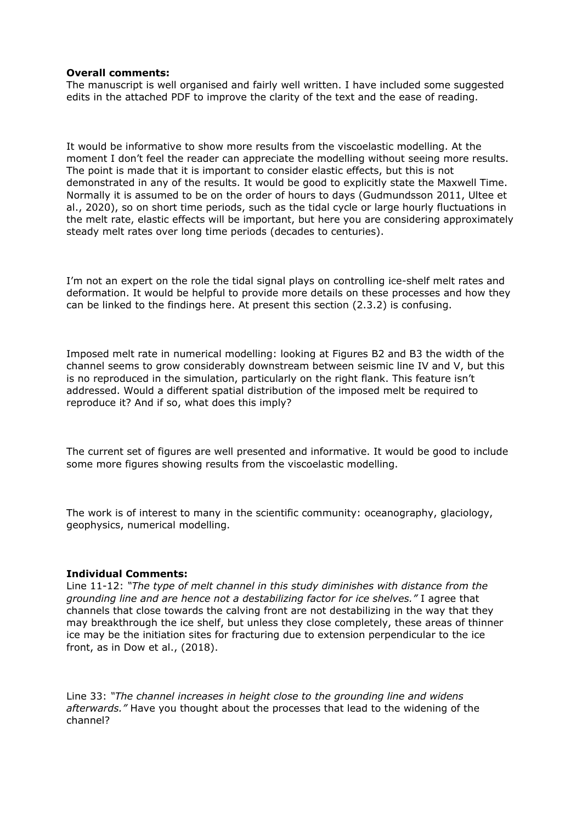#### **Overall comments:**

The manuscript is well organised and fairly well written. I have included some suggested edits in the attached PDF to improve the clarity of the text and the ease of reading.

It would be informative to show more results from the viscoelastic modelling. At the moment I don't feel the reader can appreciate the modelling without seeing more results. The point is made that it is important to consider elastic effects, but this is not demonstrated in any of the results. It would be good to explicitly state the Maxwell Time. Normally it is assumed to be on the order of hours to days (Gudmundsson 2011, Ultee et al., 2020), so on short time periods, such as the tidal cycle or large hourly fluctuations in the melt rate, elastic effects will be important, but here you are considering approximately steady melt rates over long time periods (decades to centuries).

I'm not an expert on the role the tidal signal plays on controlling ice-shelf melt rates and deformation. It would be helpful to provide more details on these processes and how they can be linked to the findings here. At present this section (2.3.2) is confusing.

Imposed melt rate in numerical modelling: looking at Figures B2 and B3 the width of the channel seems to grow considerably downstream between seismic line IV and V, but this is no reproduced in the simulation, particularly on the right flank. This feature isn't addressed. Would a different spatial distribution of the imposed melt be required to reproduce it? And if so, what does this imply?

The current set of figures are well presented and informative. It would be good to include some more figures showing results from the viscoelastic modelling.

The work is of interest to many in the scientific community: oceanography, glaciology, geophysics, numerical modelling.

#### **Individual Comments:**

Line 11-12: *"The type of melt channel in this study diminishes with distance from the grounding line and are hence not a destabilizing factor for ice shelves."* I agree that channels that close towards the calving front are not destabilizing in the way that they may breakthrough the ice shelf, but unless they close completely, these areas of thinner ice may be the initiation sites for fracturing due to extension perpendicular to the ice front, as in Dow et al., (2018).

Line 33: *"The channel increases in height close to the grounding line and widens afterwards."* Have you thought about the processes that lead to the widening of the channel?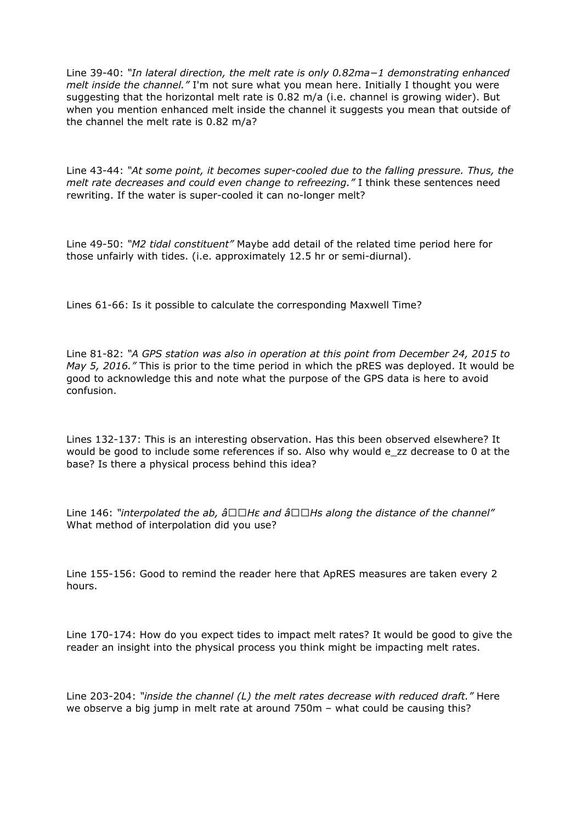Line 39-40: *"In lateral direction, the melt rate is only 0.82ma−1 demonstrating enhanced melt inside the channel."* I'm not sure what you mean here. Initially I thought you were suggesting that the horizontal melt rate is 0.82 m/a (i.e. channel is growing wider). But when you mention enhanced melt inside the channel it suggests you mean that outside of the channel the melt rate is 0.82 m/a?

Line 43-44: *"At some point, it becomes super-cooled due to the falling pressure. Thus, the melt rate decreases and could even change to refreezing."* I think these sentences need rewriting. If the water is super-cooled it can no-longer melt?

Line 49-50: *"M2 tidal constituent"* Maybe add detail of the related time period here for those unfairly with tides. (i.e. approximately 12.5 hr or semi-diurnal).

Lines 61-66: Is it possible to calculate the corresponding Maxwell Time?

Line 81-82: *"A GPS station was also in operation at this point from December 24, 2015 to May 5, 2016."* This is prior to the time period in which the pRES was deployed. It would be good to acknowledge this and note what the purpose of the GPS data is here to avoid confusion.

Lines 132-137: This is an interesting observation. Has this been observed elsewhere? It would be good to include some references if so. Also why would e\_zz decrease to 0 at the base? Is there a physical process behind this idea?

Line 146: "interpolated the ab,  $\hat{a} \Box \Box H \varepsilon$  and  $\hat{a} \Box \Box H \varepsilon$  along the distance of the channel" What method of interpolation did you use?

Line 155-156: Good to remind the reader here that ApRES measures are taken every 2 hours.

Line 170-174: How do you expect tides to impact melt rates? It would be good to give the reader an insight into the physical process you think might be impacting melt rates.

Line 203-204: *"inside the channel (L) the melt rates decrease with reduced draft."* Here we observe a big jump in melt rate at around 750m – what could be causing this?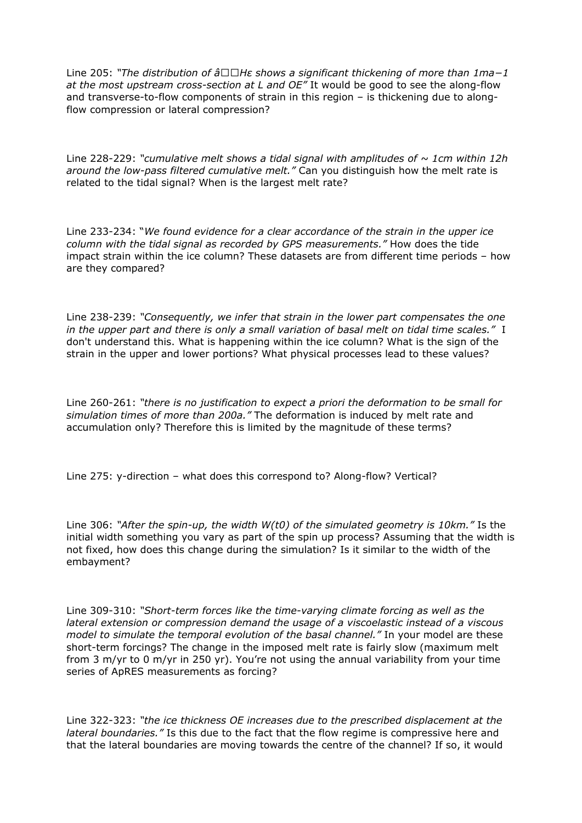Line 205: "The distribution of â□□Hε shows a significant thickening of more than 1ma-1 *at the most upstream cross-section at L and OE"* It would be good to see the along-flow and transverse-to-flow components of strain in this region – is thickening due to alongflow compression or lateral compression?

Line 228-229: *"cumulative melt shows a tidal signal with amplitudes of ~ 1cm within 12h around the low-pass filtered cumulative melt."* Can you distinguish how the melt rate is related to the tidal signal? When is the largest melt rate?

Line 233-234: "*We found evidence for a clear accordance of the strain in the upper ice column with the tidal signal as recorded by GPS measurements."* How does the tide impact strain within the ice column? These datasets are from different time periods – how are they compared?

Line 238-239: *"Consequently, we infer that strain in the lower part compensates the one in the upper part and there is only a small variation of basal melt on tidal time scales."* I don't understand this. What is happening within the ice column? What is the sign of the strain in the upper and lower portions? What physical processes lead to these values?

Line 260-261: *"there is no justification to expect a priori the deformation to be small for simulation times of more than 200a."* The deformation is induced by melt rate and accumulation only? Therefore this is limited by the magnitude of these terms?

Line 275: y-direction – what does this correspond to? Along-flow? Vertical?

Line 306: *"After the spin-up, the width W(t0) of the simulated geometry is 10km."* Is the initial width something you vary as part of the spin up process? Assuming that the width is not fixed, how does this change during the simulation? Is it similar to the width of the embayment?

Line 309-310: *"Short-term forces like the time-varying climate forcing as well as the lateral extension or compression demand the usage of a viscoelastic instead of a viscous model to simulate the temporal evolution of the basal channel."* In your model are these short-term forcings? The change in the imposed melt rate is fairly slow (maximum melt from 3 m/yr to 0 m/yr in 250 yr). You're not using the annual variability from your time series of ApRES measurements as forcing?

Line 322-323: *"the ice thickness OE increases due to the prescribed displacement at the lateral boundaries."* Is this due to the fact that the flow regime is compressive here and that the lateral boundaries are moving towards the centre of the channel? If so, it would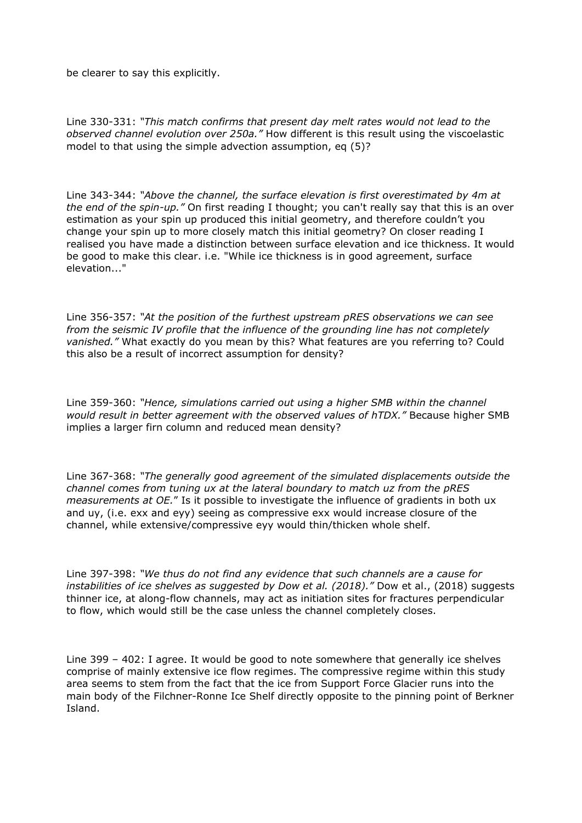be clearer to say this explicitly.

Line 330-331: *"This match confirms that present day melt rates would not lead to the observed channel evolution over 250a."* How different is this result using the viscoelastic model to that using the simple advection assumption, eq (5)?

Line 343-344: *"Above the channel, the surface elevation is first overestimated by 4m at the end of the spin-up."* On first reading I thought; you can't really say that this is an over estimation as your spin up produced this initial geometry, and therefore couldn't you change your spin up to more closely match this initial geometry? On closer reading I realised you have made a distinction between surface elevation and ice thickness. It would be good to make this clear. i.e. "While ice thickness is in good agreement, surface elevation..."

Line 356-357: *"At the position of the furthest upstream pRES observations we can see from the seismic IV profile that the influence of the grounding line has not completely vanished."* What exactly do you mean by this? What features are you referring to? Could this also be a result of incorrect assumption for density?

Line 359-360: *"Hence, simulations carried out using a higher SMB within the channel would result in better agreement with the observed values of hTDX."* Because higher SMB implies a larger firn column and reduced mean density?

Line 367-368: *"The generally good agreement of the simulated displacements outside the channel comes from tuning ux at the lateral boundary to match uz from the pRES measurements at OE.*" Is it possible to investigate the influence of gradients in both ux and uy, (i.e. exx and eyy) seeing as compressive exx would increase closure of the channel, while extensive/compressive eyy would thin/thicken whole shelf.

Line 397-398: *"We thus do not find any evidence that such channels are a cause for instabilities of ice shelves as suggested by Dow et al. (2018)."* Dow et al., (2018) suggests thinner ice, at along-flow channels, may act as initiation sites for fractures perpendicular to flow, which would still be the case unless the channel completely closes.

Line 399 – 402: I agree. It would be good to note somewhere that generally ice shelves comprise of mainly extensive ice flow regimes. The compressive regime within this study area seems to stem from the fact that the ice from Support Force Glacier runs into the main body of the Filchner-Ronne Ice Shelf directly opposite to the pinning point of Berkner Island.